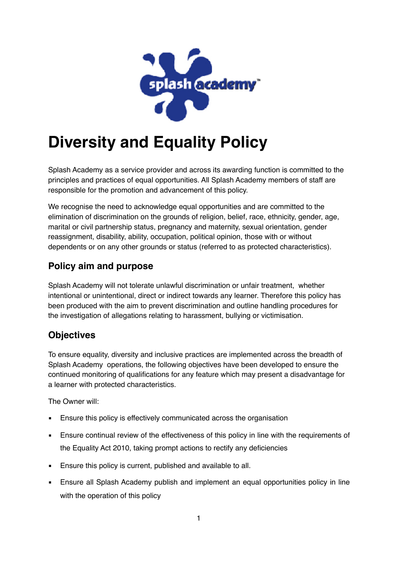

# **Diversity and Equality Policy**

Splash Academy as a service provider and across its awarding function is committed to the principles and practices of equal opportunities. All Splash Academy members of staff are responsible for the promotion and advancement of this policy.

We recognise the need to acknowledge equal opportunities and are committed to the elimination of discrimination on the grounds of religion, belief, race, ethnicity, gender, age, marital or civil partnership status, pregnancy and maternity, sexual orientation, gender reassignment, disability, ability, occupation, political opinion, those with or without dependents or on any other grounds or status (referred to as protected characteristics).

### **Policy aim and purpose**

Splash Academy will not tolerate unlawful discrimination or unfair treatment, whether intentional or unintentional, direct or indirect towards any learner. Therefore this policy has been produced with the aim to prevent discrimination and outline handling procedures for the investigation of allegations relating to harassment, bullying or victimisation.

#### **Objectives**

To ensure equality, diversity and inclusive practices are implemented across the breadth of Splash Academy operations, the following objectives have been developed to ensure the continued monitoring of qualifications for any feature which may present a disadvantage for a learner with protected characteristics.

The Owner will:

- Ensure this policy is effectively communicated across the organisation
- **Ensure continual review of the effectiveness of this policy in line with the requirements of** the Equality Act 2010, taking prompt actions to rectify any deficiencies
- **Ensure this policy is current, published and available to all.**
- **Ensure all Splash Academy publish and implement an equal opportunities policy in line** with the operation of this policy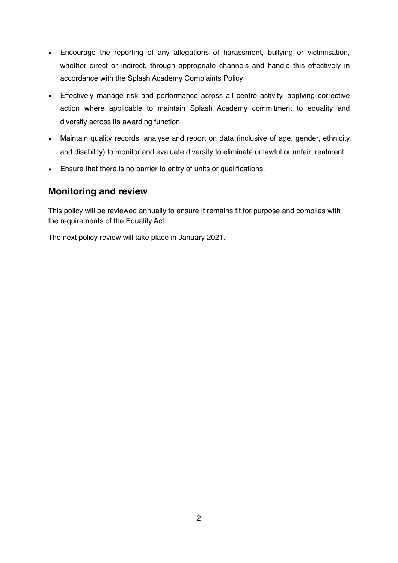- **Encourage the reporting of any allegations of harassment, bullying or victimisation,** whether direct or indirect, through appropriate channels and handle this effectively in accordance with the Splash Academy Complaints Policy
- **Effectively manage risk and performance across all centre activity, applying corrective** action where applicable to maintain Splash Academy commitment to equality and diversity across its awarding function
- Maintain quality records, analyse and report on data (inclusive of age, gender, ethnicity and disability) to monitor and evaluate diversity to eliminate unlawful or unfair treatment.
- **Ensure that there is no barrier to entry of units or qualifications.**

#### **Monitoring and review**

This policy will be reviewed annually to ensure it remains fit for purpose and complies with the requirements of the Equality Act.

The next policy review will take place in January 2021.